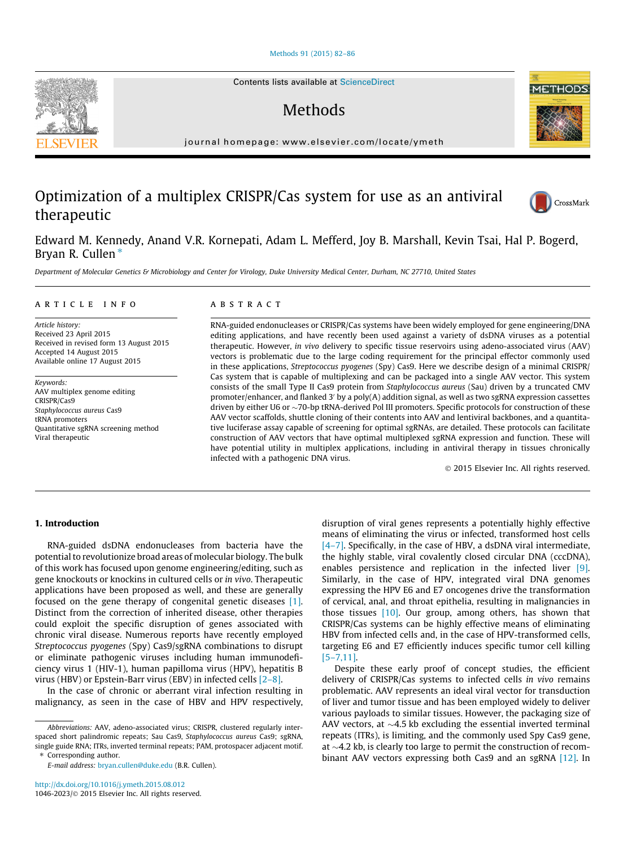#### [Methods 91 \(2015\) 82–86](http://dx.doi.org/10.1016/j.ymeth.2015.08.012)

# Methods

journal homepage: [www.elsevier.com/locate/ymeth](http://www.elsevier.com/locate/ymeth)

# Optimization of a multiplex CRISPR/Cas system for use as an antiviral therapeutic

Edward M. Kennedy, Anand V.R. Kornepati, Adam L. Mefferd, Joy B. Marshall, Kevin Tsai, Hal P. Bogerd, Bryan R. Cullen $*$ 

Department of Molecular Genetics & Microbiology and Center for Virology, Duke University Medical Center, Durham, NC 27710, United States

#### article info

Article history: Received 23 April 2015 Received in revised form 13 August 2015 Accepted 14 August 2015 Available online 17 August 2015

Keywords: AAV multiplex genome editing CRISPR/Cas9 Staphylococcus aureus Cas9 tRNA promoters Quantitative sgRNA screening method Viral therapeutic

#### A B S T R A C T

RNA-guided endonucleases or CRISPR/Cas systems have been widely employed for gene engineering/DNA editing applications, and have recently been used against a variety of dsDNA viruses as a potential therapeutic. However, in vivo delivery to specific tissue reservoirs using adeno-associated virus (AAV) vectors is problematic due to the large coding requirement for the principal effector commonly used in these applications, Streptococcus pyogenes (Spy) Cas9. Here we describe design of a minimal CRISPR/ Cas system that is capable of multiplexing and can be packaged into a single AAV vector. This system consists of the small Type II Cas9 protein from Staphylococcus aureus (Sau) driven by a truncated CMV promoter/enhancer, and flanked 3' by a poly(A) addition signal, as well as two sgRNA expression cassettes driven by either U6 or  $\sim$  70-bp tRNA-derived Pol III promoters. Specific protocols for construction of these AAV vector scaffolds, shuttle cloning of their contents into AAV and lentiviral backbones, and a quantitative luciferase assay capable of screening for optimal sgRNAs, are detailed. These protocols can facilitate construction of AAV vectors that have optimal multiplexed sgRNA expression and function. These will have potential utility in multiplex applications, including in antiviral therapy in tissues chronically infected with a pathogenic DNA virus.

2015 Elsevier Inc. All rights reserved.

## 1. Introduction

RNA-guided dsDNA endonucleases from bacteria have the potential to revolutionize broad areas of molecular biology. The bulk of this work has focused upon genome engineering/editing, such as gene knockouts or knockins in cultured cells or in vivo. Therapeutic applications have been proposed as well, and these are generally focused on the gene therapy of congenital genetic diseases [\[1\].](#page-4-0) Distinct from the correction of inherited disease, other therapies could exploit the specific disruption of genes associated with chronic viral disease. Numerous reports have recently employed Streptococcus pyogenes (Spy) Cas9/sgRNA combinations to disrupt or eliminate pathogenic viruses including human immunodeficiency virus 1 (HIV-1), human papilloma virus (HPV), hepatitis B virus (HBV) or Epstein-Barr virus (EBV) in infected cells [\[2–8\].](#page-4-0)

In the case of chronic or aberrant viral infection resulting in malignancy, as seen in the case of HBV and HPV respectively,

E-mail address: [bryan.cullen@duke.edu](mailto:bryan.cullen@duke.edu) (B.R. Cullen).

disruption of viral genes represents a potentially highly effective means of eliminating the virus or infected, transformed host cells  $[4-7]$ . Specifically, in the case of HBV, a dsDNA viral intermediate, the highly stable, viral covalently closed circular DNA (cccDNA), enables persistence and replication in the infected liver [\[9\].](#page-4-0) Similarly, in the case of HPV, integrated viral DNA genomes expressing the HPV E6 and E7 oncogenes drive the transformation of cervical, anal, and throat epithelia, resulting in malignancies in those tissues  $[10]$ . Our group, among others, has shown that CRISPR/Cas systems can be highly effective means of eliminating HBV from infected cells and, in the case of HPV-transformed cells, targeting E6 and E7 efficiently induces specific tumor cell killing [\[5–7,11\]](#page-4-0).

Despite these early proof of concept studies, the efficient delivery of CRISPR/Cas systems to infected cells in vivo remains problematic. AAV represents an ideal viral vector for transduction of liver and tumor tissue and has been employed widely to deliver various payloads to similar tissues. However, the packaging size of AAV vectors, at  $\sim$ 4.5 kb excluding the essential inverted terminal repeats (ITRs), is limiting, and the commonly used Spy Cas9 gene, at  $\sim$ 4.2 kb, is clearly too large to permit the construction of recombinant AAV vectors expressing both Cas9 and an sgRNA [\[12\].](#page-4-0) In





**METHOD** 



Abbreviations: AAV, adeno-associated virus; CRISPR, clustered regularly interspaced short palindromic repeats; Sau Cas9, Staphylococcus aureus Cas9; sgRNA, single guide RNA; ITRs, inverted terminal repeats; PAM, protospacer adjacent motif. ⇑ Corresponding author.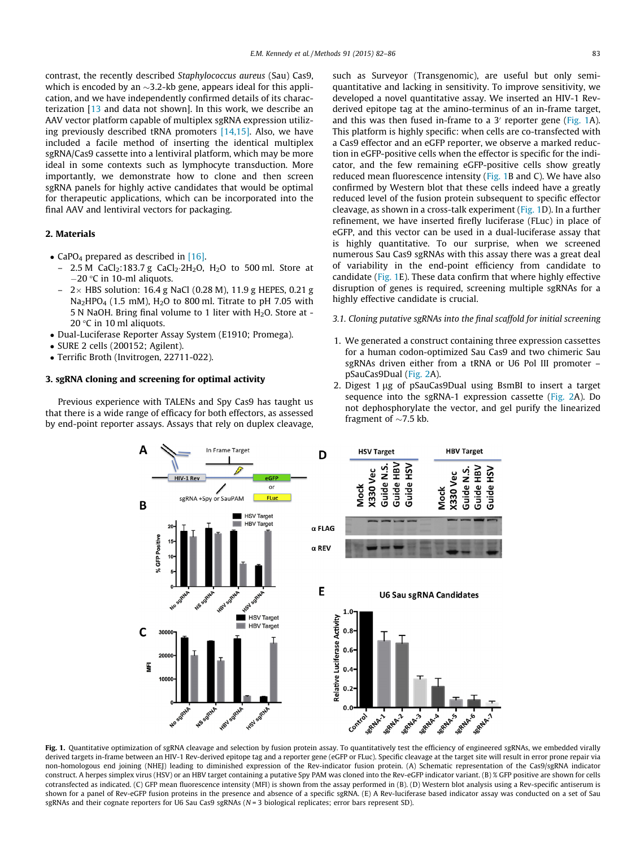<span id="page-1-0"></span>contrast, the recently described Staphylococcus aureus (Sau) Cas9, which is encoded by an  $\sim$ 3.2-kb gene, appears ideal for this application, and we have independently confirmed details of its characterization [\[13](#page-4-0) and data not shown]. In this work, we describe an AAV vector platform capable of multiplex sgRNA expression utilizing previously described tRNA promoters [\[14,15\].](#page-4-0) Also, we have included a facile method of inserting the identical multiplex sgRNA/Cas9 cassette into a lentiviral platform, which may be more ideal in some contexts such as lymphocyte transduction. More importantly, we demonstrate how to clone and then screen sgRNA panels for highly active candidates that would be optimal for therapeutic applications, which can be incorporated into the final AAV and lentiviral vectors for packaging.

### 2. Materials

- CaPO<sub>4</sub> prepared as described in [\[16\].](#page-4-0)
	- 2.5 M CaCl<sub>2</sub>:183.7 g CaCl<sub>2</sub>.2H<sub>2</sub>O, H<sub>2</sub>O to 500 ml. Store at  $-20$  °C in 10-ml aliquots.
	- $2 \times$  HBS solution: 16.4 g NaCl (0.28 M), 11.9 g HEPES, 0.21 g Na<sub>2</sub>HPO<sub>4</sub> (1.5 mM), H<sub>2</sub>O to 800 ml. Titrate to pH 7.05 with 5 N NaOH. Bring final volume to 1 liter with  $H_2O$ . Store at -20 $\degree$ C in 10 ml aliquots.
- Dual-Luciferase Reporter Assay System (E1910; Promega).
- SURE 2 cells (200152; Agilent).
- Terrific Broth (Invitrogen, 22711-022).

## 3. sgRNA cloning and screening for optimal activity

Previous experience with TALENs and Spy Cas9 has taught us that there is a wide range of efficacy for both effectors, as assessed by end-point reporter assays. Assays that rely on duplex cleavage, such as Surveyor (Transgenomic), are useful but only semiquantitative and lacking in sensitivity. To improve sensitivity, we developed a novel quantitative assay. We inserted an HIV-1 Revderived epitope tag at the amino-terminus of an in-frame target, and this was then fused in-frame to a  $3'$  reporter gene (Fig. 1A). This platform is highly specific: when cells are co-transfected with a Cas9 effector and an eGFP reporter, we observe a marked reduction in eGFP-positive cells when the effector is specific for the indicator, and the few remaining eGFP-positive cells show greatly reduced mean fluorescence intensity (Fig. 1B and C). We have also confirmed by Western blot that these cells indeed have a greatly reduced level of the fusion protein subsequent to specific effector cleavage, as shown in a cross-talk experiment (Fig. 1D). In a further refinement, we have inserted firefly luciferase (FLuc) in place of eGFP, and this vector can be used in a dual-luciferase assay that is highly quantitative. To our surprise, when we screened numerous Sau Cas9 sgRNAs with this assay there was a great deal of variability in the end-point efficiency from candidate to candidate (Fig. 1E). These data confirm that where highly effective disruption of genes is required, screening multiple sgRNAs for a highly effective candidate is crucial.

#### 3.1. Cloning putative sgRNAs into the final scaffold for initial screening

- 1. We generated a construct containing three expression cassettes for a human codon-optimized Sau Cas9 and two chimeric Sau sgRNAs driven either from a tRNA or U6 Pol III promoter – pSauCas9Dual ([Fig. 2A](#page-2-0)).
- 2. Digest  $1 \mu$ g of pSauCas9Dual using BsmBI to insert a target sequence into the sgRNA-1 expression cassette [\(Fig. 2A](#page-2-0)). Do not dephosphorylate the vector, and gel purify the linearized fragment of  $\sim$ 7.5 kb.



Fig. 1. Quantitative optimization of sgRNA cleavage and selection by fusion protein assay. To quantitatively test the efficiency of engineered sgRNAs, we embedded virally derived targets in-frame between an HIV-1 Rev-derived epitope tag and a reporter gene (eGFP or FLuc). Specific cleavage at the target site will result in error prone repair via non-homologous end joining (NHEJ) leading to diminished expression of the Rev-indicator fusion protein. (A) Schematic representation of the Cas9/sgRNA indicator construct. A herpes simplex virus (HSV) or an HBV target containing a putative Spy PAM was cloned into the Rev-eGFP indicator variant. (B) % GFP positive are shown for cells cotransfected as indicated. (C) GFP mean fluorescence intensity (MFI) is shown from the assay performed in (B). (D) Western blot analysis using a Rev-specific antiserum is shown for a panel of Rev-eGFP fusion proteins in the presence and absence of a specific sgRNA. (E) A Rev-luciferase based indicator assay was conducted on a set of Sau sgRNAs and their cognate reporters for U6 Sau Cas9 sgRNAs (N = 3 biological replicates; error bars represent SD).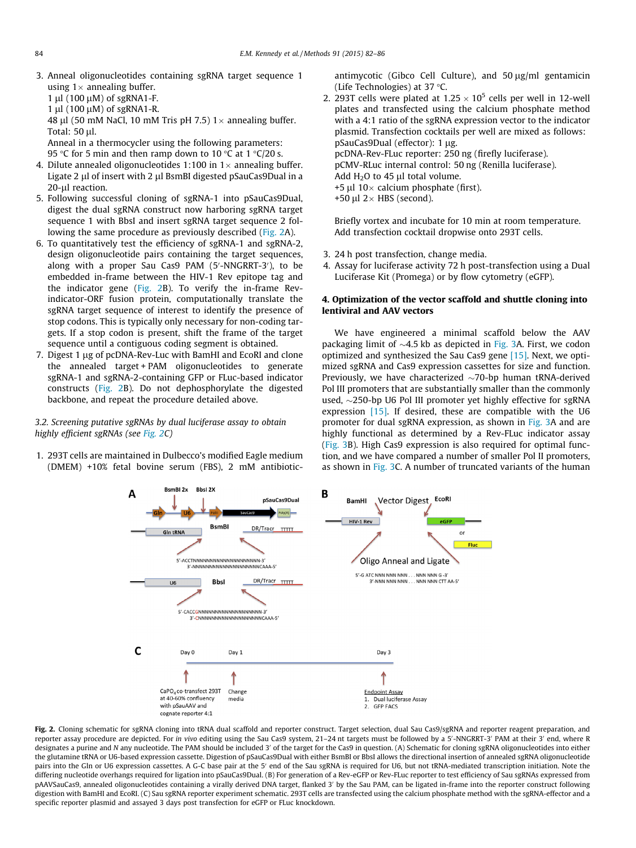<span id="page-2-0"></span>3. Anneal oligonucleotides containing sgRNA target sequence 1 using  $1 \times$  annealing buffer.

1 ul (100 uM) of sgRNA1-F.

 $1 \mu$ l (100  $\mu$ M) of sgRNA1-R.

48 µl (50 mM NaCl, 10 mM Tris pH 7.5)  $1 \times$  annealing buffer. Total:  $50$  µl.

Anneal in a thermocycler using the following parameters:

95 °C for 5 min and then ramp down to 10 °C at 1 °C/20 s.

- 4. Dilute annealed oligonucleotides 1:100 in  $1 \times$  annealing buffer. Ligate 2 µl of insert with 2 µl BsmBI digested pSauCas9Dual in a 20-µl reaction.
- 5. Following successful cloning of sgRNA-1 into pSauCas9Dual, digest the dual sgRNA construct now harboring sgRNA target sequence 1 with BbsI and insert sgRNA target sequence 2 following the same procedure as previously described (Fig. 2A).
- 6. To quantitatively test the efficiency of sgRNA-1 and sgRNA-2, design oligonucleotide pairs containing the target sequences, along with a proper Sau Cas9 PAM (5'-NNGRRT-3'), to be embedded in-frame between the HIV-1 Rev epitope tag and the indicator gene (Fig. 2B). To verify the in-frame Revindicator-ORF fusion protein, computationally translate the sgRNA target sequence of interest to identify the presence of stop codons. This is typically only necessary for non-coding targets. If a stop codon is present, shift the frame of the target sequence until a contiguous coding segment is obtained.
- 7. Digest 1 µg of pcDNA-Rev-Luc with BamHI and EcoRI and clone the annealed target + PAM oligonucleotides to generate sgRNA-1 and sgRNA-2-containing GFP or FLuc-based indicator constructs (Fig. 2B). Do not dephosphorylate the digested backbone, and repeat the procedure detailed above.

## 3.2. Screening putative sgRNAs by dual luciferase assay to obtain highly efficient sgRNAs (see Fig. 2C)

1. 293T cells are maintained in Dulbecco's modified Eagle medium (DMEM) +10% fetal bovine serum (FBS), 2 mM antibiotic-

antimycotic (Gibco Cell Culture), and  $50 \text{ µg/ml}$  gentamicin (Life Technologies) at 37 °C.

2. 293T cells were plated at  $1.25 \times 10^5$  cells per well in 12-well plates and transfected using the calcium phosphate method with a 4:1 ratio of the sgRNA expression vector to the indicator plasmid. Transfection cocktails per well are mixed as follows: pSauCas9Dual (effector): 1 µg. pcDNA-Rev-FLuc reporter: 250 ng (firefly luciferase). pCMV-RLuc internal control: 50 ng (Renilla luciferase). Add  $H<sub>2</sub>O$  to 45 µl total volume. +5  $\mu$ l 10 × calcium phosphate (first). +50  $\mu$ l 2 × HBS (second).

Briefly vortex and incubate for 10 min at room temperature. Add transfection cocktail dropwise onto 293T cells.

- 3. 24 h post transfection, change media.
- 4. Assay for luciferase activity 72 h post-transfection using a Dual Luciferase Kit (Promega) or by flow cytometry (eGFP).

## 4. Optimization of the vector scaffold and shuttle cloning into lentiviral and AAV vectors

We have engineered a minimal scaffold below the AAV packaging limit of  $\sim$ 4.5 kb as depicted in [Fig. 3A](#page-3-0). First, we codon optimized and synthesized the Sau Cas9 gene [\[15\].](#page-4-0) Next, we optimized sgRNA and Cas9 expression cassettes for size and function. Previously, we have characterized  $\sim$ 70-bp human tRNA-derived Pol III promoters that are substantially smaller than the commonly used,  $\sim$ 250-bp U6 Pol III promoter yet highly effective for sgRNA expression [\[15\].](#page-4-0) If desired, these are compatible with the U6 promoter for dual sgRNA expression, as shown in [Fig. 3A](#page-3-0) and are highly functional as determined by a Rev-FLuc indicator assay ([Fig. 3B](#page-3-0)). High Cas9 expression is also required for optimal function, and we have compared a number of smaller Pol II promoters, as shown in [Fig. 3](#page-3-0)C. A number of truncated variants of the human



Fig. 2. Cloning schematic for sgRNA cloning into tRNA dual scaffold and reporter construct. Target selection, dual Sau Cas9/sgRNA and reporter reagent preparation, and reporter assay procedure are depicted. For *in vivo* editing using the Sau Cas9 system, 21–24 nt targets must be followed by a 5'-NNGRRT-3' PAM at their 3' end, where R designates a purine and N any nucleotide. The PAM should be included 3' of the target for the Cas9 in question. (A) Schematic for cloning sgRNA oligonucleotides into either the glutamine tRNA or U6-based expression cassette. Digestion of pSauCas9Dual with either BsmBI or BbsI allows the directional insertion of annealed sgRNA oligonucleotide pairs into the Gln or U6 expression cassettes. A G-C base pair at the 5<sup>'</sup> end of the Sau sgRNA is required for U6, but not tRNA-mediated transcription initiation. Note the differing nucleotide overhangs required for ligation into pSauCas9Dual. (B) For generation of a Rev-eGFP or Rev-FLuc reporter to test efficiency of Sau sgRNAs expressed from pAAVSauCas9, annealed oligonucleotides containing a virally derived DNA target, flanked 3' by the Sau PAM, can be ligated in-frame into the reporter construct following digestion with BamHI and EcoRI. (C) Sau sgRNA reporter experiment schematic. 293T cells are transfected using the calcium phosphate method with the sgRNA-effector and a specific reporter plasmid and assayed 3 days post transfection for eGFP or FLuc knockdown.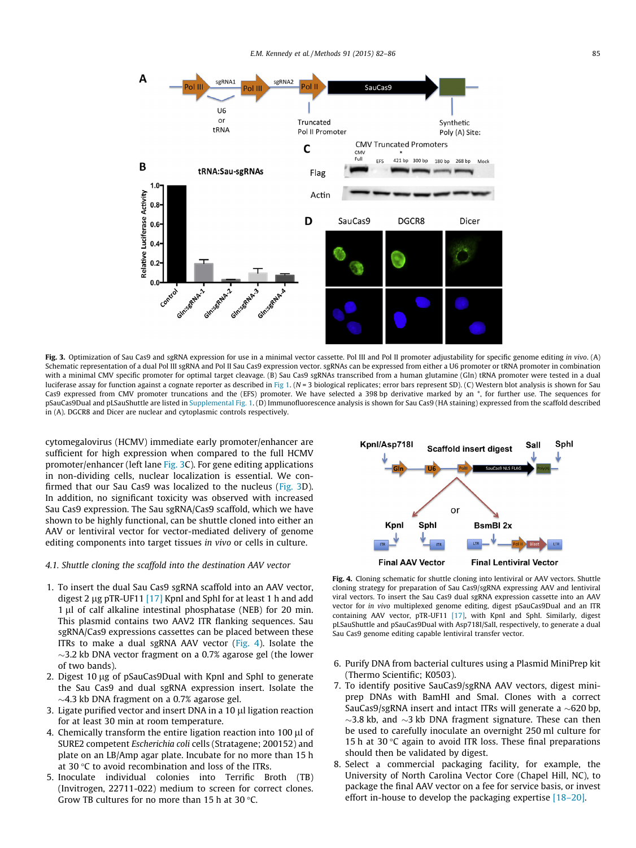<span id="page-3-0"></span>

Fig. 3. Optimization of Sau Cas9 and sgRNA expression for use in a minimal vector cassette. Pol III and Pol II promoter adjustability for specific genome editing in vivo. (A) Schematic representation of a dual Pol III sgRNA and Pol II Sau Cas9 expression vector. sgRNAs can be expressed from either a U6 promoter or tRNA promoter in combination with a minimal CMV specific promoter for optimal target cleavage. (B) Sau Cas9 sgRNAs transcribed from a human glutamine (Gln) tRNA promoter were tested in a dual luciferase assay for function against a cognate reporter as described in [Fig 1](#page-1-0). ( $N = 3$  biological replicates; error bars represent SD). (C) Western blot analysis is shown for Sau Cas9 expressed from CMV promoter truncations and the (EFS) promoter. We have selected a 398 bp derivative marked by an \*, for further use. The sequences for pSauCas9Dual and pLSauShuttle are listed in Supplemental Fig. 1. (D) Immunofluorescence analysis is shown for Sau Cas9 (HA staining) expressed from the scaffold described in (A). DGCR8 and Dicer are nuclear and cytoplasmic controls respectively.

cytomegalovirus (HCMV) immediate early promoter/enhancer are sufficient for high expression when compared to the full HCMV promoter/enhancer (left lane Fig. 3C). For gene editing applications in non-dividing cells, nuclear localization is essential. We confirmed that our Sau Cas9 was localized to the nucleus (Fig. 3D). In addition, no significant toxicity was observed with increased Sau Cas9 expression. The Sau sgRNA/Cas9 scaffold, which we have shown to be highly functional, can be shuttle cloned into either an AAV or lentiviral vector for vector-mediated delivery of genome editing components into target tissues in vivo or cells in culture.

#### 4.1. Shuttle cloning the scaffold into the destination AAV vector

- 1. To insert the dual Sau Cas9 sgRNA scaffold into an AAV vector, digest 2  $\mu$ g pTR-UF11 [\[17\]](#page-4-0) KpnI and SphI for at least 1 h and add  $1 \mu l$  of calf alkaline intestinal phosphatase (NEB) for 20 min. This plasmid contains two AAV2 ITR flanking sequences. Sau sgRNA/Cas9 expressions cassettes can be placed between these ITRs to make a dual sgRNA AAV vector  $(Fig. 4)$ . Isolate the  $\sim$ 3.2 kb DNA vector fragment on a 0.7% agarose gel (the lower of two bands).
- 2. Digest 10 µg of pSauCas9Dual with KpnI and SphI to generate the Sau Cas9 and dual sgRNA expression insert. Isolate the  $\sim$ 4.3 kb DNA fragment on a 0.7% agarose gel.
- 3. Ligate purified vector and insert DNA in a 10 µl ligation reaction for at least 30 min at room temperature.
- 4. Chemically transform the entire ligation reaction into 100 µl of SURE2 competent Escherichia coli cells (Stratagene; 200152) and plate on an LB/Amp agar plate. Incubate for no more than 15 h at 30  $\degree$ C to avoid recombination and loss of the ITRs.
- 5. Inoculate individual colonies into Terrific Broth (TB) (Invitrogen, 22711-022) medium to screen for correct clones. Grow TB cultures for no more than 15 h at 30  $\degree$ C.



Fig. 4. Cloning schematic for shuttle cloning into lentiviral or AAV vectors. Shuttle cloning strategy for preparation of Sau Cas9/sgRNA expressing AAV and lentiviral viral vectors. To insert the Sau Cas9 dual sgRNA expression cassette into an AAV vector for in vivo multiplexed genome editing, digest pSauCas9Dual and an ITR containing AAV vector, pTR-UF11 [\[17\],](#page-4-0) with KpnI and SphI. Similarly, digest pLSauShuttle and pSauCas9Dual with Asp718I/SalI, respectively, to generate a dual Sau Cas9 genome editing capable lentiviral transfer vector.

- 6. Purify DNA from bacterial cultures using a Plasmid MiniPrep kit (Thermo Scientific; K0503).
- 7. To identify positive SauCas9/sgRNA AAV vectors, digest miniprep DNAs with BamHI and SmaI. Clones with a correct SauCas9/sgRNA insert and intact ITRs will generate a  $\sim$ 620 bp.  $\sim$ 3.8 kb, and  $\sim$ 3 kb DNA fragment signature. These can then be used to carefully inoculate an overnight 250 ml culture for 15 h at 30 $\degree$ C again to avoid ITR loss. These final preparations should then be validated by digest.
- 8. Select a commercial packaging facility, for example, the University of North Carolina Vector Core (Chapel Hill, NC), to package the final AAV vector on a fee for service basis, or invest effort in-house to develop the packaging expertise [\[18–20\].](#page-4-0)